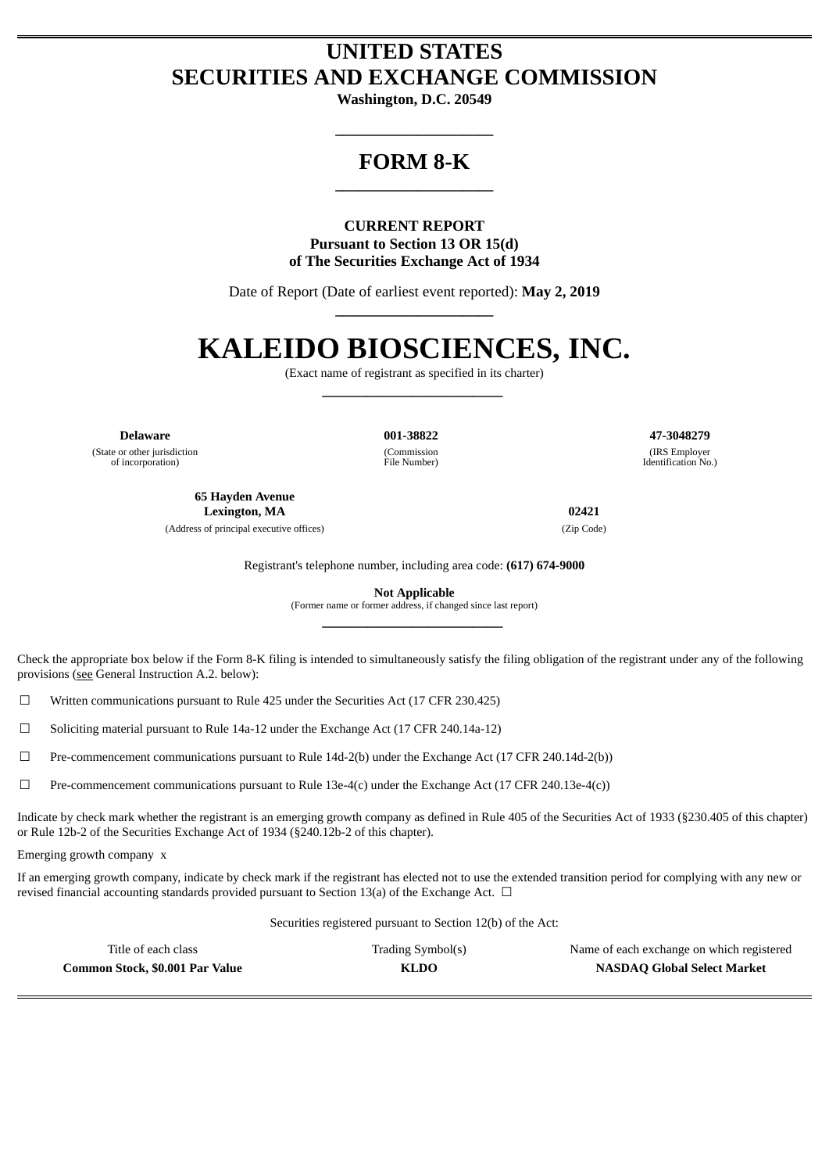# **UNITED STATES SECURITIES AND EXCHANGE COMMISSION**

**Washington, D.C. 20549**

**\_\_\_\_\_\_\_\_\_\_\_\_\_\_\_\_\_\_\_\_\_**

# **FORM 8-K \_\_\_\_\_\_\_\_\_\_\_\_\_\_\_\_\_\_\_\_\_**

**CURRENT REPORT Pursuant to Section 13 OR 15(d) of The Securities Exchange Act of 1934**

Date of Report (Date of earliest event reported): **May 2, 2019 \_\_\_\_\_\_\_\_\_\_\_\_\_\_\_\_\_\_\_\_\_**

# **KALEIDO BIOSCIENCES, INC.**

(Exact name of registrant as specified in its charter) **\_\_\_\_\_\_\_\_\_\_\_\_\_\_\_\_\_\_\_\_\_\_\_\_** 

(State or other jurisdiction of incorporation)

**Delaware 001-38822 47-3048279** (Commission File Number)

> **65 Hayden Avenue Lexington, MA 02421**

(Address of principal executive offices) (Zip Code)

(IRS Employer Identification No.)

Registrant's telephone number, including area code: **(617) 674-9000**

**Not Applicable**

(Former name or former address, if changed since last report) **\_\_\_\_\_\_\_\_\_\_\_\_\_\_\_\_\_\_\_\_\_\_\_\_** 

Check the appropriate box below if the Form 8-K filing is intended to simultaneously satisfy the filing obligation of the registrant under any of the following provisions (see General Instruction A.2. below):

☐ Written communications pursuant to Rule 425 under the Securities Act (17 CFR 230.425)

☐ Soliciting material pursuant to Rule 14a-12 under the Exchange Act (17 CFR 240.14a-12)

☐ Pre-commencement communications pursuant to Rule 14d-2(b) under the Exchange Act (17 CFR 240.14d-2(b))

 $□$  Pre-commencement communications pursuant to Rule 13e-4(c) under the Exchange Act (17 CFR 240.13e-4(c))

Indicate by check mark whether the registrant is an emerging growth company as defined in Rule 405 of the Securities Act of 1933 (§230.405 of this chapter) or Rule 12b-2 of the Securities Exchange Act of 1934 (§240.12b-2 of this chapter).

Emerging growth company x

If an emerging growth company, indicate by check mark if the registrant has elected not to use the extended transition period for complying with any new or revised financial accounting standards provided pursuant to Section 13(a) of the Exchange Act.  $\Box$ 

Securities registered pursuant to Section 12(b) of the Act:

| Title of each class             | Trading Symbol(s) | Name of each exchange on which registered |
|---------------------------------|-------------------|-------------------------------------------|
| Common Stock, \$0.001 Par Value | <b>KLDO</b>       | <b>NASDAQ Global Select Market</b>        |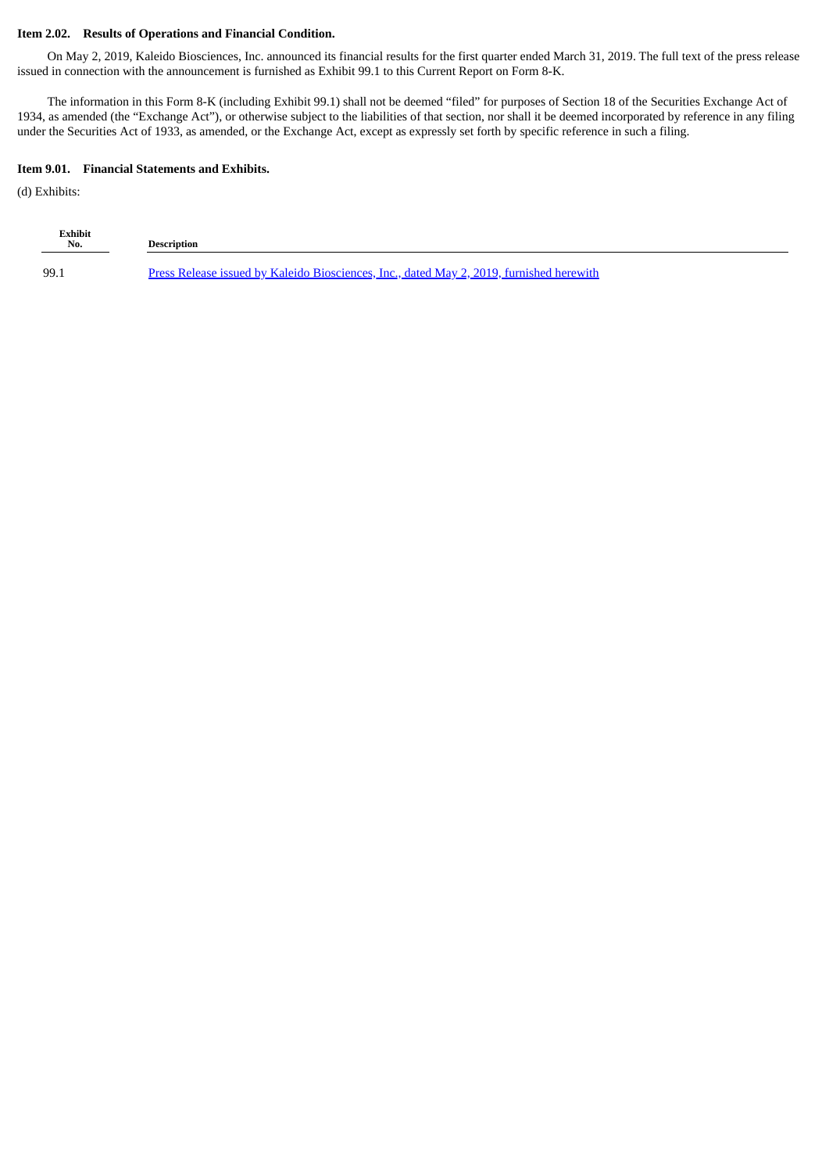#### **Item 2.02. Results of Operations and Financial Condition.**

On May 2, 2019, Kaleido Biosciences, Inc. announced its financial results for the first quarter ended March 31, 2019. The full text of the press release issued in connection with the announcement is furnished as Exhibit 99.1 to this Current Report on Form 8-K.

The information in this Form 8-K (including Exhibit 99.1) shall not be deemed "filed" for purposes of Section 18 of the Securities Exchange Act of 1934, as amended (the "Exchange Act"), or otherwise subject to the liabilities of that section, nor shall it be deemed incorporated by reference in any filing under the Securities Act of 1933, as amended, or the Exchange Act, except as expressly set forth by specific reference in such a filing.

#### **Item 9.01. Financial Statements and Exhibits.**

(d) Exhibits:

| Exhibit<br>No. | <b>Description</b>                                                                       |
|----------------|------------------------------------------------------------------------------------------|
| 99.1           | Press Release issued by Kaleido Biosciences, Inc., dated May 2, 2019, furnished herewith |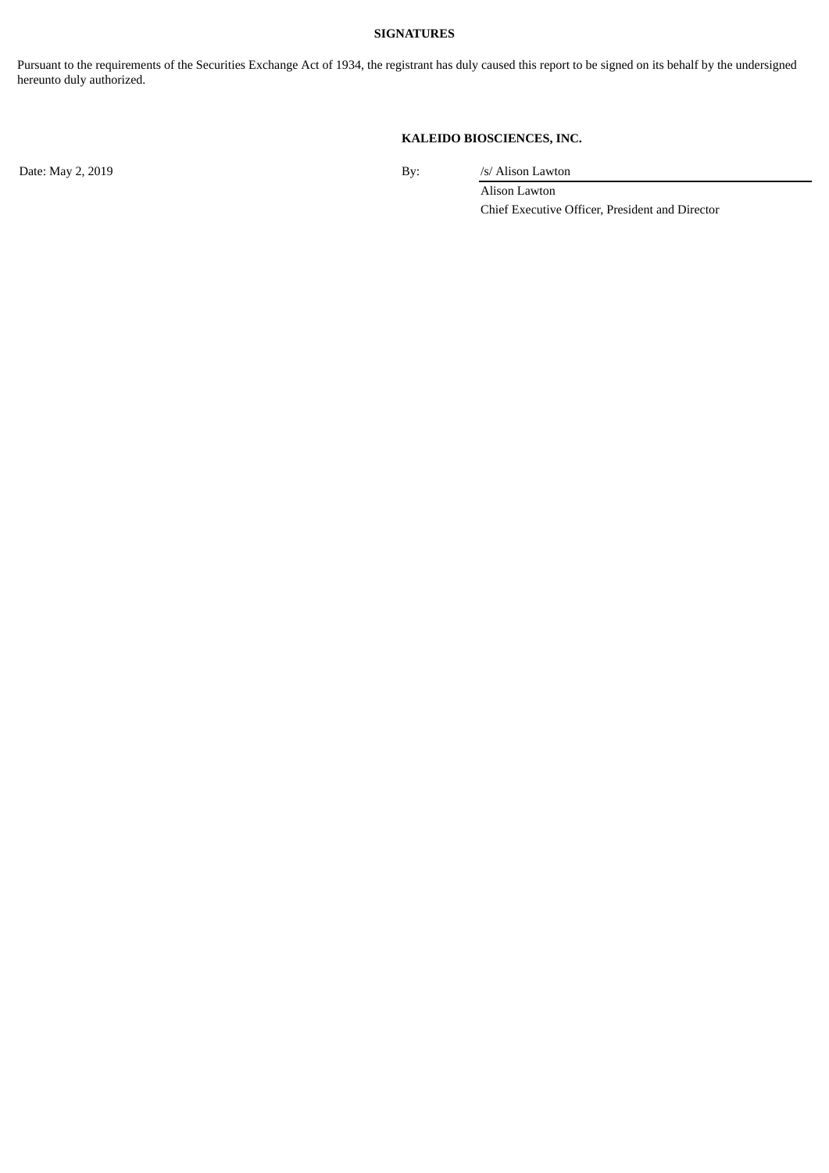#### **SIGNATURES**

Pursuant to the requirements of the Securities Exchange Act of 1934, the registrant has duly caused this report to be signed on its behalf by the undersigned hereunto duly authorized.

## **KALEIDO BIOSCIENCES, INC.**

Date: May 2, 2019 **By:** /s/ Alison Lawton **By:** /s/ Alison Lawton **By:** /s/ Alison Lawton **By:** /s/ Alison Lawton **By:** /s/ Alison Lawton **By:** /s/ Alison Lawton **By:** /s/ Alison Lawton **By:** /s/ Alison Lawton **By:** /s/ Al

Alison Lawton Chief Executive Officer, President and Director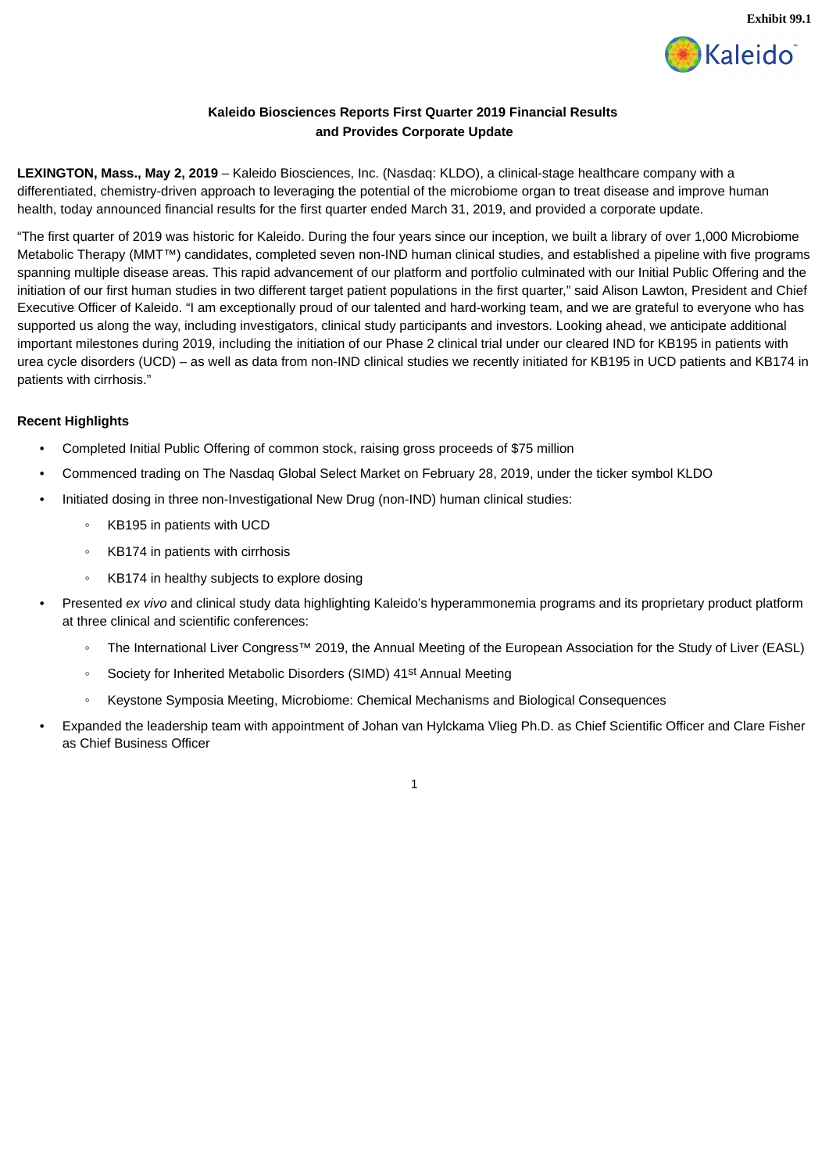

# **Kaleido Biosciences Reports First Quarter 2019 Financial Results and Provides Corporate Update**

<span id="page-3-0"></span>**LEXINGTON, Mass., May 2, 2019** – Kaleido Biosciences, Inc. (Nasdaq: KLDO), a clinical-stage healthcare company with a differentiated, chemistry-driven approach to leveraging the potential of the microbiome organ to treat disease and improve human health, today announced financial results for the first quarter ended March 31, 2019, and provided a corporate update.

"The first quarter of 2019 was historic for Kaleido. During the four years since our inception, we built a library of over 1,000 Microbiome Metabolic Therapy (MMT™) candidates, completed seven non-IND human clinical studies, and established a pipeline with five programs spanning multiple disease areas. This rapid advancement of our platform and portfolio culminated with our Initial Public Offering and the initiation of our first human studies in two different target patient populations in the first quarter," said Alison Lawton, President and Chief Executive Officer of Kaleido. "I am exceptionally proud of our talented and hard-working team, and we are grateful to everyone who has supported us along the way, including investigators, clinical study participants and investors. Looking ahead, we anticipate additional important milestones during 2019, including the initiation of our Phase 2 clinical trial under our cleared IND for KB195 in patients with urea cycle disorders (UCD) – as well as data from non-IND clinical studies we recently initiated for KB195 in UCD patients and KB174 in patients with cirrhosis."

#### **Recent Highlights**

- Completed Initial Public Offering of common stock, raising gross proceeds of \$75 million
- Commenced trading on The Nasdaq Global Select Market on February 28, 2019, under the ticker symbol KLDO
- Initiated dosing in three non-Investigational New Drug (non-IND) human clinical studies:
	- KB195 in patients with UCD
	- KB174 in patients with cirrhosis
	- KB174 in healthy subjects to explore dosing
- Presented *ex vivo* and clinical study data highlighting Kaleido's hyperammonemia programs and its proprietary product platform at three clinical and scientific conferences:
	- The International Liver Congress™ 2019, the Annual Meeting of the European Association for the Study of Liver (EASL)
	- Society for Inherited Metabolic Disorders (SIMD) 41st Annual Meeting
	- Keystone Symposia Meeting, Microbiome: Chemical Mechanisms and Biological Consequences
- Expanded the leadership team with appointment of Johan van Hylckama Vlieg Ph.D. as Chief Scientific Officer and Clare Fisher as Chief Business Officer

1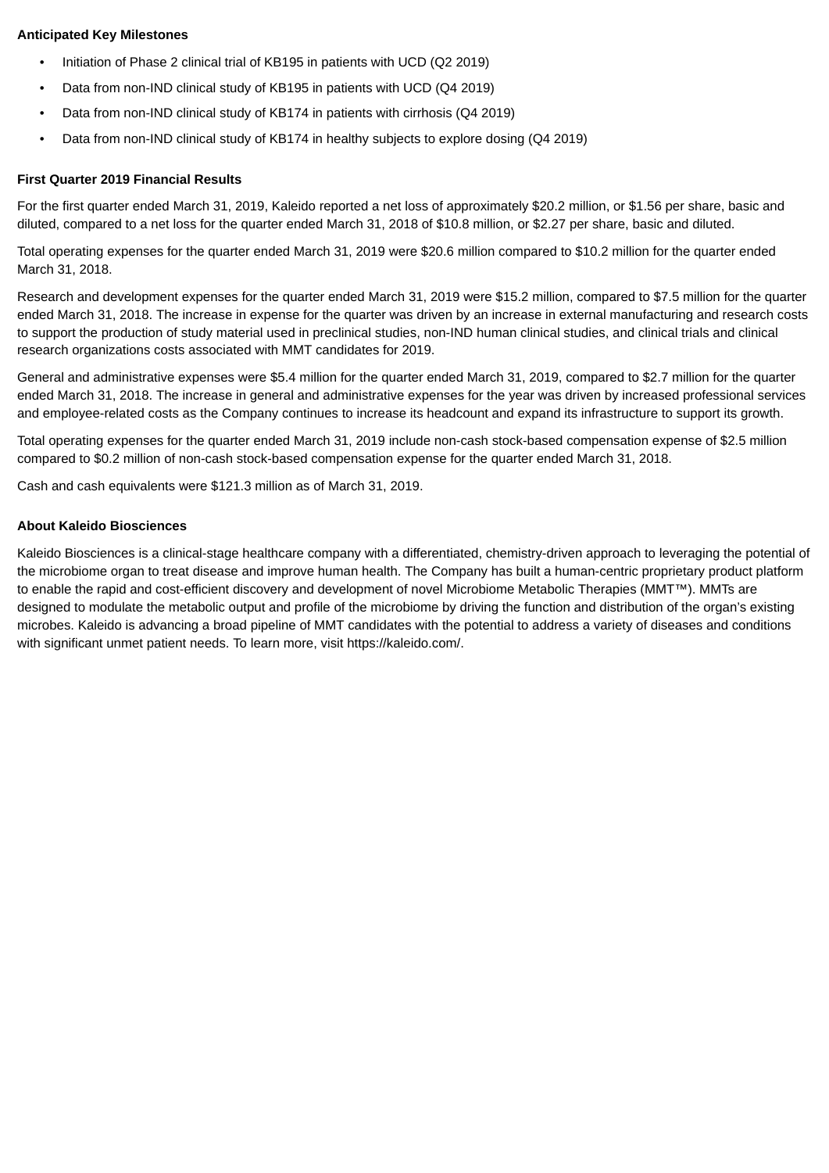#### **Anticipated Key Milestones**

- Initiation of Phase 2 clinical trial of KB195 in patients with UCD (Q2 2019)
- Data from non-IND clinical study of KB195 in patients with UCD (Q4 2019)
- Data from non-IND clinical study of KB174 in patients with cirrhosis (Q4 2019)
- Data from non-IND clinical study of KB174 in healthy subjects to explore dosing (Q4 2019)

#### **First Quarter 2019 Financial Results**

For the first quarter ended March 31, 2019, Kaleido reported a net loss of approximately \$20.2 million, or \$1.56 per share, basic and diluted, compared to a net loss for the quarter ended March 31, 2018 of \$10.8 million, or \$2.27 per share, basic and diluted.

Total operating expenses for the quarter ended March 31, 2019 were \$20.6 million compared to \$10.2 million for the quarter ended March 31, 2018.

Research and development expenses for the quarter ended March 31, 2019 were \$15.2 million, compared to \$7.5 million for the quarter ended March 31, 2018. The increase in expense for the quarter was driven by an increase in external manufacturing and research costs to support the production of study material used in preclinical studies, non-IND human clinical studies, and clinical trials and clinical research organizations costs associated with MMT candidates for 2019.

General and administrative expenses were \$5.4 million for the quarter ended March 31, 2019, compared to \$2.7 million for the quarter ended March 31, 2018. The increase in general and administrative expenses for the year was driven by increased professional services and employee-related costs as the Company continues to increase its headcount and expand its infrastructure to support its growth.

Total operating expenses for the quarter ended March 31, 2019 include non-cash stock-based compensation expense of \$2.5 million compared to \$0.2 million of non-cash stock-based compensation expense for the quarter ended March 31, 2018.

Cash and cash equivalents were \$121.3 million as of March 31, 2019.

#### **About Kaleido Biosciences**

Kaleido Biosciences is a clinical-stage healthcare company with a differentiated, chemistry-driven approach to leveraging the potential of the microbiome organ to treat disease and improve human health. The Company has built a human-centric proprietary product platform to enable the rapid and cost-efficient discovery and development of novel Microbiome Metabolic Therapies (MMT™). MMTs are designed to modulate the metabolic output and profile of the microbiome by driving the function and distribution of the organ's existing microbes. Kaleido is advancing a broad pipeline of MMT candidates with the potential to address a variety of diseases and conditions with significant unmet patient needs. To learn more, visit https://kaleido.com/.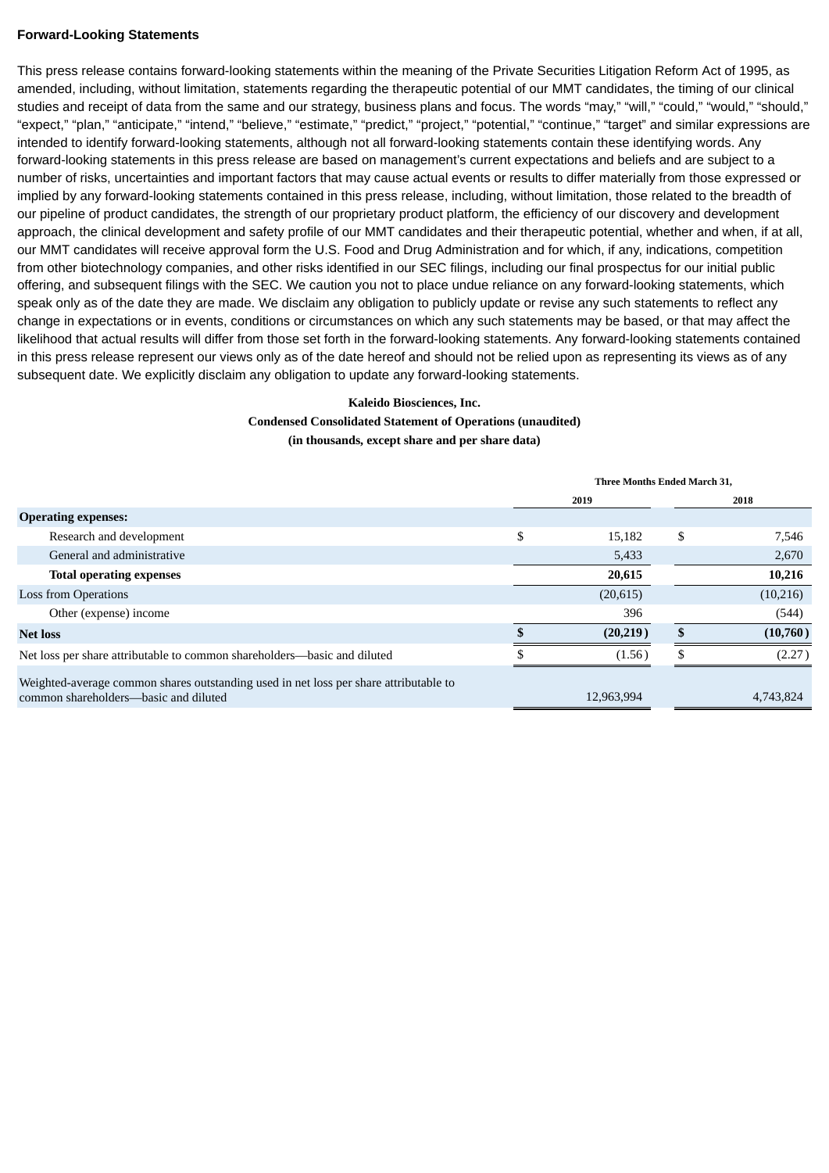#### **Forward-Looking Statements**

This press release contains forward-looking statements within the meaning of the Private Securities Litigation Reform Act of 1995, as amended, including, without limitation, statements regarding the therapeutic potential of our MMT candidates, the timing of our clinical studies and receipt of data from the same and our strategy, business plans and focus. The words "may," "will," "could," "would," "should," "expect," "plan," "anticipate," "intend," "believe," "estimate," "predict," "project," "potential," "continue," "target" and similar expressions are intended to identify forward-looking statements, although not all forward-looking statements contain these identifying words. Any forward-looking statements in this press release are based on management's current expectations and beliefs and are subject to a number of risks, uncertainties and important factors that may cause actual events or results to differ materially from those expressed or implied by any forward-looking statements contained in this press release, including, without limitation, those related to the breadth of our pipeline of product candidates, the strength of our proprietary product platform, the efficiency of our discovery and development approach, the clinical development and safety profile of our MMT candidates and their therapeutic potential, whether and when, if at all, our MMT candidates will receive approval form the U.S. Food and Drug Administration and for which, if any, indications, competition from other biotechnology companies, and other risks identified in our SEC filings, including our final prospectus for our initial public offering, and subsequent filings with the SEC. We caution you not to place undue reliance on any forward-looking statements, which speak only as of the date they are made. We disclaim any obligation to publicly update or revise any such statements to reflect any change in expectations or in events, conditions or circumstances on which any such statements may be based, or that may affect the likelihood that actual results will differ from those set forth in the forward-looking statements. Any forward-looking statements contained in this press release represent our views only as of the date hereof and should not be relied upon as representing its views as of any subsequent date. We explicitly disclaim any obligation to update any forward-looking statements.

## **Kaleido Biosciences, Inc. Condensed Consolidated Statement of Operations (unaudited) (in thousands, except share and per share data)**

|                                                                                                                                | Three Months Ended March 31, |            |      |           |
|--------------------------------------------------------------------------------------------------------------------------------|------------------------------|------------|------|-----------|
|                                                                                                                                | 2019                         |            | 2018 |           |
| <b>Operating expenses:</b>                                                                                                     |                              |            |      |           |
| Research and development                                                                                                       | \$                           | 15,182     | \$   | 7,546     |
| General and administrative                                                                                                     |                              | 5,433      |      | 2,670     |
| <b>Total operating expenses</b>                                                                                                |                              | 20,615     |      | 10,216    |
| <b>Loss from Operations</b>                                                                                                    |                              | (20,615)   |      | (10,216)  |
| Other (expense) income                                                                                                         |                              | 396        |      | (544)     |
| <b>Net loss</b>                                                                                                                |                              | (20, 219)  | \$   | (10,760)  |
| Net loss per share attributable to common shareholders—basic and diluted                                                       |                              | (1.56)     |      | (2.27)    |
| Weighted-average common shares outstanding used in net loss per share attributable to<br>common shareholders—basic and diluted |                              | 12.963.994 |      | 4.743.824 |